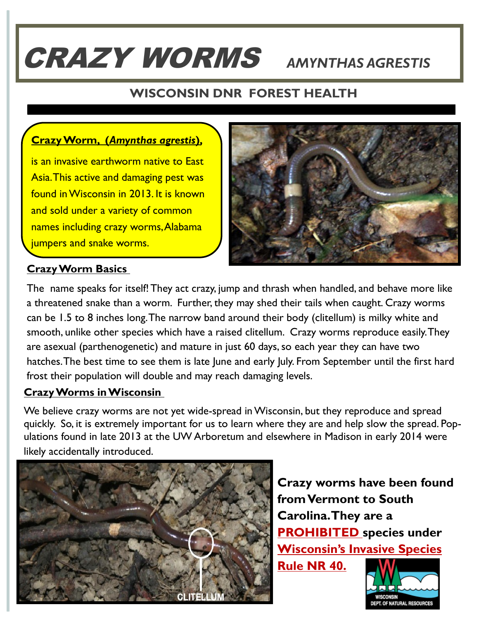# CRAZY WORMS *AMYNTHAS AGRESTIS*

### **WISCONSIN DNR FOREST HEALTH**

### **Crazy Worm, (***Amynthas agrestis***),**

is an invasive earthworm native to East Asia. This active and damaging pest was found in Wisconsin in 2013. It is known and sold under a variety of common names including crazy worms, Alabama jumpers and snake worms.



#### **Crazy Worm Basics**

The name speaks for itself! They act crazy, jump and thrash when handled, and behave more like a threatened snake than a worm. Further, they may shed their tails when caught. Crazy worms can be 1.5 to 8 inches long. The narrow band around their body (clitellum) is milky white and smooth, unlike other species which have a raised clitellum. Crazy worms reproduce easily. They are asexual (parthenogenetic) and mature in just 60 days, so each year they can have two hatches. The best time to see them is late June and early July. From September until the first hard frost their population will double and may reach damaging levels.

#### **Crazy Worms in Wisconsin**

We believe crazy worms are not yet wide-spread in Wisconsin, but they reproduce and spread quickly. So, it is extremely important for us to learn where they are and help slow the spread. Populations found in late 2013 at the UW Arboretum and elsewhere in Madison in early 2014 were likely accidentally introduced.



**Crazy worms have been found from Vermont to South Carolina. They are a PROHIBITED species under Wisconsin's Invasive Species Rule NR 40.**

T. OF NATURAL RESOURCES